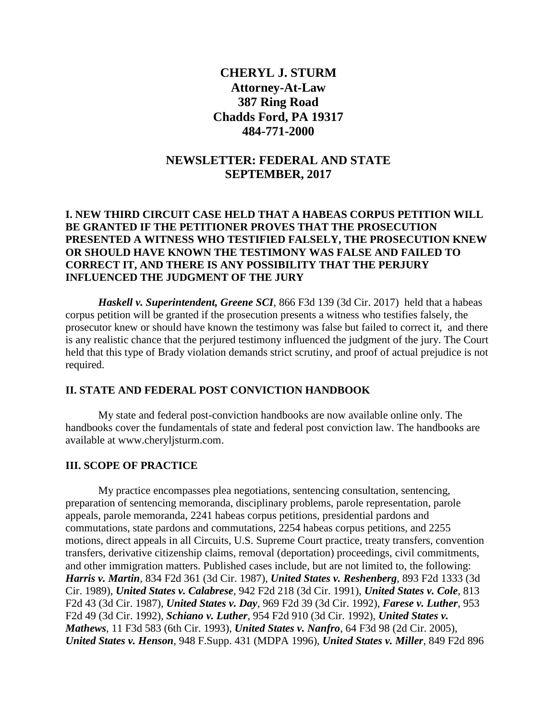# **CHERYL J. STURM Attorney-At-Law 387 Ring Road Chadds Ford, PA 19317 484-771-2000**

## **NEWSLETTER: FEDERAL AND STATE SEPTEMBER, 2017**

### **I. NEW THIRD CIRCUIT CASE HELD THAT A HABEAS CORPUS PETITION WILL BE GRANTED IF THE PETITIONER PROVES THAT THE PROSECUTION PRESENTED A WITNESS WHO TESTIFIED FALSELY, THE PROSECUTION KNEW OR SHOULD HAVE KNOWN THE TESTIMONY WAS FALSE AND FAILED TO CORRECT IT, AND THERE IS ANY POSSIBILITY THAT THE PERJURY INFLUENCED THE JUDGMENT OF THE JURY**

*Haskell v. Superintendent, Greene SCI*, 866 F3d 139 (3d Cir. 2017) held that a habeas corpus petition will be granted if the prosecution presents a witness who testifies falsely, the prosecutor knew or should have known the testimony was false but failed to correct it, and there is any realistic chance that the perjured testimony influenced the judgment of the jury. The Court held that this type of Brady violation demands strict scrutiny, and proof of actual prejudice is not required.

#### **II. STATE AND FEDERAL POST CONVICTION HANDBOOK**

My state and federal post-conviction handbooks are now available online only. The handbooks cover the fundamentals of state and federal post conviction law. The handbooks are available at www.cheryljsturm.com.

#### **III. SCOPE OF PRACTICE**

My practice encompasses plea negotiations, sentencing consultation, sentencing, preparation of sentencing memoranda, disciplinary problems, parole representation, parole appeals, parole memoranda, 2241 habeas corpus petitions, presidential pardons and commutations, state pardons and commutations, 2254 habeas corpus petitions, and 2255 motions, direct appeals in all Circuits, U.S. Supreme Court practice, treaty transfers, convention transfers, derivative citizenship claims, removal (deportation) proceedings, civil commitments, and other immigration matters. Published cases include, but are not limited to, the following: *Harris v. Martin*, 834 F2d 361 (3d Cir. 1987), *United States v. Reshenberg*, 893 F2d 1333 (3d Cir. 1989), *United States v. Calabrese*, 942 F2d 218 (3d Cir. 1991), *United States v. Cole*, 813 F2d 43 (3d Cir. 1987), *United States v. Day*, 969 F2d 39 (3d Cir. 1992), *Farese v. Luther*, 953 F2d 49 (3d Cir. 1992), *Schiano v. Luther*, 954 F2d 910 (3d Cir. 1992), *United States v. Mathews*, 11 F3d 583 (6th Cir. 1993), *United States v. Nanfro*, 64 F3d 98 (2d Cir. 2005), *United States v. Henson*, 948 F.Supp. 431 (MDPA 1996), *United States v. Miller*, 849 F2d 896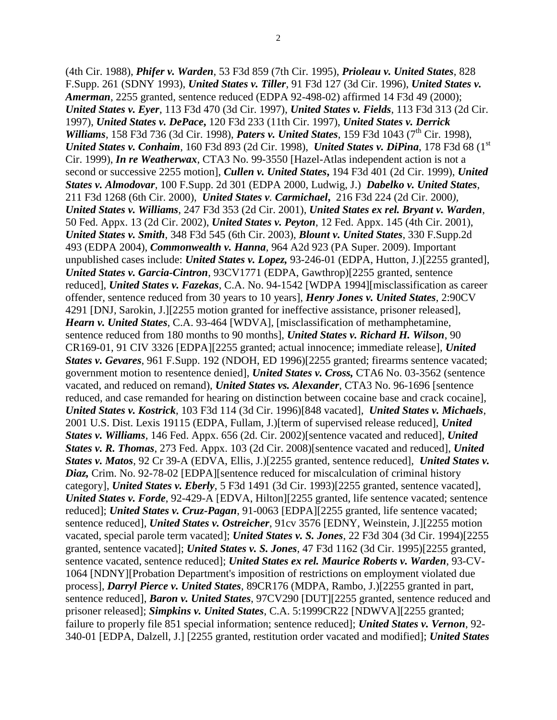(4th Cir. 1988), *Phifer v. Warden*, 53 F3d 859 (7th Cir. 1995), *Prioleau v. United States*, 828 F.Supp. 261 (SDNY 1993), *United States v. Tiller*, 91 F3d 127 (3d Cir. 1996), *United States v. Amerman*, 2255 granted, sentence reduced (EDPA 92-498-02) affirmed 14 F3d 49 (2000); *United States v. Eyer*, 113 F3d 470 (3d Cir. 1997), *United States v. Fields*, 113 F3d 313 (2d Cir. 1997), *United States v. DePace***,** 120 F3d 233 (11th Cir. 1997), *United States v. Derrick Williams*, 158 F3d 736 (3d Cir. 1998), *Paters v. United States*, 159 F3d 1043 (7<sup>th</sup> Cir. 1998), *United States v. Conhaim*, 160 F3d 893 (2d Cir. 1998), *United States v. DiPina*, 178 F3d 68 (1st Cir. 1999), *In re Weatherwax*, CTA3 No. 99-3550 [Hazel-Atlas independent action is not a second or successive 2255 motion], *Cullen v. United States***,** 194 F3d 401 (2d Cir. 1999), *United States v. Almodovar*, 100 F.Supp. 2d 301 (EDPA 2000, Ludwig, J.) *Dabelko v. United States*, 211 F3d 1268 (6th Cir. 2000), *United States v. Carmichael***,** 216 F3d 224 (2d Cir. 2000*), United States v. Williams*, 247 F3d 353 (2d Cir. 2001), *United States ex rel. Bryant v. Warden*, 50 Fed. Appx. 13 (2d Cir. 2002), *United States v. Peyton*, 12 Fed. Appx. 145 (4th Cir. 2001), *United States v. Smith*, 348 F3d 545 (6th Cir. 2003), *Blount v. United States*, 330 F.Supp.2d 493 (EDPA 2004), *Commonwealth v. Hanna*, 964 A2d 923 (PA Super. 2009). Important unpublished cases include: *United States v. Lopez,* 93-246-01 (EDPA, Hutton, J.)[2255 granted], *United States v. Garcia-Cintron*, 93CV1771 (EDPA, Gawthrop)[2255 granted, sentence reduced], *United States v. Fazekas*, C.A. No. 94-1542 [WDPA 1994][misclassification as career offender, sentence reduced from 30 years to 10 years], *Henry Jones v. United States*, 2:90CV 4291 [DNJ, Sarokin, J.][2255 motion granted for ineffective assistance, prisoner released], *Hearn v. United States*, C.A. 93-464 [WDVA], [misclassification of methamphetamine, sentence reduced from 180 months to 90 months], *United States v. Richard H. Wilson*, 90 CR169-01, 91 CIV 3326 [EDPA][2255 granted; actual innocence; immediate release], *United States v. Gevares*, 961 F.Supp. 192 (NDOH, ED 1996)[2255 granted; firearms sentence vacated; government motion to resentence denied], *United States v. Cross,* CTA6 No. 03-3562 (sentence vacated, and reduced on remand), *United States vs. Alexander*, CTA3 No. 96-1696 [sentence reduced, and case remanded for hearing on distinction between cocaine base and crack cocaine], *United States v. Kostrick*, 103 F3d 114 (3d Cir. 1996)[848 vacated], *United States v. Michaels*, 2001 U.S. Dist. Lexis 19115 (EDPA, Fullam, J.)[term of supervised release reduced], *United States v. Williams*, 146 Fed. Appx. 656 (2d. Cir. 2002)[sentence vacated and reduced], *United States v. R. Thomas*, 273 Fed. Appx. 103 (2d Cir. 2008)[sentence vacated and reduced], *United States v. Matos*, 92 Cr 39-A (EDVA, Ellis, J.)[2255 granted, sentence reduced], *United States v. Diaz,* Crim. No. 92-78-02 [EDPA][sentence reduced for miscalculation of criminal history category], *United States v. Eberly*, 5 F3d 1491 (3d Cir. 1993)[2255 granted, sentence vacated], *United States v. Forde*, 92-429-A [EDVA, Hilton][2255 granted, life sentence vacated; sentence reduced]; *United States v. Cruz-Pagan*, 91-0063 [EDPA][2255 granted, life sentence vacated; sentence reduced], *United States v. Ostreicher*, 91cv 3576 [EDNY, Weinstein, J.][2255 motion vacated, special parole term vacated]; *United States v. S. Jones*, 22 F3d 304 (3d Cir. 1994)[2255 granted, sentence vacated]; *United States v. S. Jones*, 47 F3d 1162 (3d Cir. 1995)[2255 granted, sentence vacated, sentence reduced]; *United States ex rel. Maurice Roberts v. Warden*, 93-CV-1064 [NDNY][Probation Department's imposition of restrictions on employment violated due process], *Darryl Pierce v. United States*, 89CR176 (MDPA, Rambo, J.)[2255 granted in part, sentence reduced], *Baron v. United States*, 97CV290 [DUT][2255 granted, sentence reduced and prisoner released]; *Simpkins v. United States*, C.A. 5:1999CR22 [NDWVA][2255 granted; failure to properly file 851 special information; sentence reduced]; *United States v. Vernon*, 92- 340-01 [EDPA, Dalzell, J.] [2255 granted, restitution order vacated and modified]; *United States*